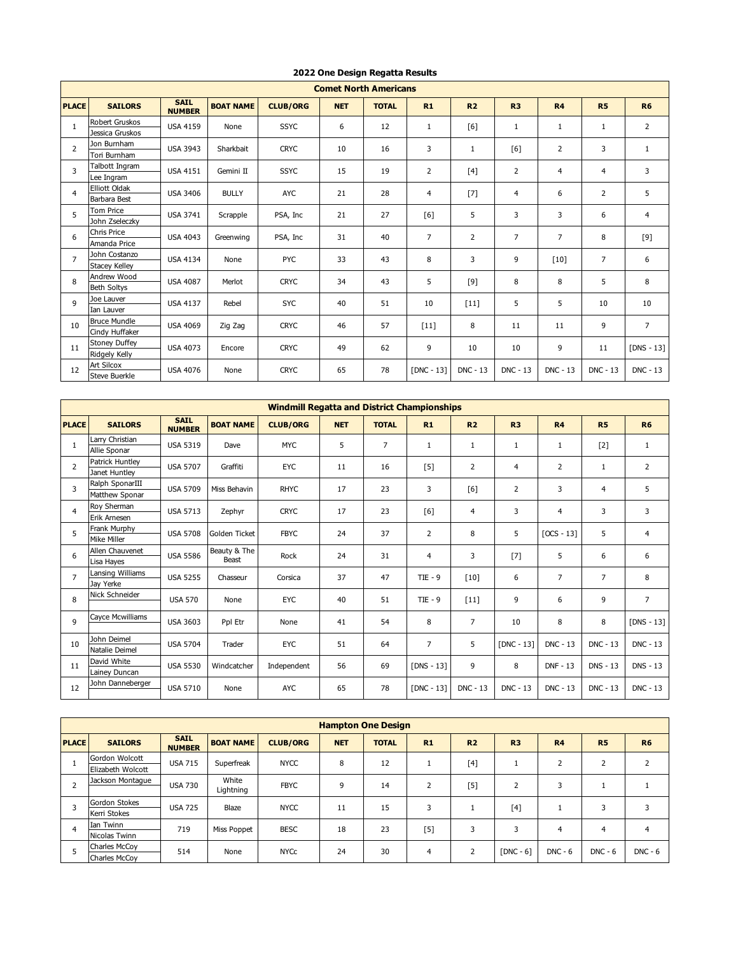|                | <b>Comet North Americans</b>             |                              |                  |                 |            |              |                |                 |                 |                 |                 |                 |  |
|----------------|------------------------------------------|------------------------------|------------------|-----------------|------------|--------------|----------------|-----------------|-----------------|-----------------|-----------------|-----------------|--|
| <b>PLACE</b>   | <b>SAILORS</b>                           | <b>SAIL</b><br><b>NUMBER</b> | <b>BOAT NAME</b> | <b>CLUB/ORG</b> | <b>NET</b> | <b>TOTAL</b> | R1             | R <sub>2</sub>  | R <sub>3</sub>  | R <sub>4</sub>  | <b>R5</b>       | <b>R6</b>       |  |
| $\mathbf{1}$   | <b>Robert Gruskos</b><br>Jessica Gruskos | <b>USA 4159</b>              | None             | <b>SSYC</b>     | 6          | 12           | $\mathbf{1}$   | [6]             | 1               | $\mathbf{1}$    | $\mathbf{1}$    | $\overline{2}$  |  |
| $\overline{2}$ | Jon Burnham<br>Tori Burnham              | <b>USA 3943</b>              | Sharkbait        | <b>CRYC</b>     | 10         | 16           | 3              | $\mathbf{1}$    | [6]             | $\overline{2}$  | 3               | $\mathbf{1}$    |  |
| 3              | Talbott Ingram<br>Lee Ingram             | <b>USA 4151</b>              | Gemini II        | <b>SSYC</b>     | 15         | 19           | $\overline{2}$ | [4]             | $\overline{2}$  | $\overline{4}$  | 4               | 3               |  |
| $\overline{4}$ | <b>Elliott Oldak</b><br>Barbara Best     | <b>USA 3406</b>              | <b>BULLY</b>     | <b>AYC</b>      | 21         | 28           | $\overline{4}$ | $[7]$           | $\overline{4}$  | 6               | $\overline{2}$  | 5               |  |
| 5              | <b>Tom Price</b><br>John Zseleczky       | <b>USA 3741</b>              | Scrapple         | PSA, Inc        | 21         | 27           | [6]            | 5               | 3               | 3               | 6               | 4               |  |
| 6              | <b>Chris Price</b><br>Amanda Price       | <b>USA 4043</b>              | Greenwing        | PSA, Inc        | 31         | 40           | $\overline{7}$ | $\overline{2}$  | $\overline{7}$  | $\overline{7}$  | 8               | [9]             |  |
| $\overline{7}$ | John Costanzo<br><b>Stacey Kelley</b>    | <b>USA 4134</b>              | None             | PYC             | 33         | 43           | 8              | 3               | 9               | $[10]$          | $\overline{7}$  | 6               |  |
| 8              | Andrew Wood<br><b>Beth Soltys</b>        | <b>USA 4087</b>              | Merlot           | <b>CRYC</b>     | 34         | 43           | 5              | $[9]$           | 8               | 8               | 5               | 8               |  |
| 9              | Joe Lauver<br>Ian Lauver                 | <b>USA 4137</b>              | Rebel            | <b>SYC</b>      | 40         | 51           | 10             | $[11]$          | 5               | 5               | 10              | 10              |  |
| 10             | <b>Bruce Mundle</b><br>Cindy Huffaker    | <b>USA 4069</b>              | Zig Zag          | <b>CRYC</b>     | 46         | 57           | $[11]$         | 8               | 11              | 11              | 9               | $\overline{7}$  |  |
| 11             | <b>Stoney Duffey</b><br>Ridgely Kelly    | <b>USA 4073</b>              | Encore           | <b>CRYC</b>     | 49         | 62           | 9              | 10              | 10              | 9               | 11              | $[DNS - 13]$    |  |
| 12             | Art Silcox<br><b>Steve Buerkle</b>       | <b>USA 4076</b>              | None             | <b>CRYC</b>     | 65         | 78           | $[DNC - 13]$   | <b>DNC - 13</b> | <b>DNC - 13</b> | <b>DNC - 13</b> | <b>DNC - 13</b> | <b>DNC - 13</b> |  |

## **2022 One Design Regatta Results**

|                | <b>Windmill Regatta and District Championships</b> |                              |                  |                 |            |                |                |                 |                |                 |                 |                 |   |   |
|----------------|----------------------------------------------------|------------------------------|------------------|-----------------|------------|----------------|----------------|-----------------|----------------|-----------------|-----------------|-----------------|---|---|
| <b>PLACE</b>   | <b>SAILORS</b>                                     | <b>SAIL</b><br><b>NUMBER</b> | <b>BOAT NAME</b> | <b>CLUB/ORG</b> | <b>NET</b> | <b>TOTAL</b>   | R1             | R <sub>2</sub>  | R <sub>3</sub> | R <sub>4</sub>  | <b>R5</b>       | <b>R6</b>       |   |   |
| $\mathbf{1}$   | Larry Christian                                    | <b>USA 5319</b>              | Dave             | <b>MYC</b>      | 5          | $\overline{7}$ | 1              | 1               | 1              | 1               | $[2]$           | $\mathbf{1}$    |   |   |
|                | Allie Sponar                                       |                              |                  |                 |            |                |                |                 |                |                 |                 |                 |   |   |
| $\overline{2}$ | Patrick Huntley                                    | <b>USA 5707</b>              | Graffiti         | EYC             | 11         | 16             | [5]            | 2               | 4              | 2               | $\mathbf{1}$    | $\overline{2}$  |   |   |
|                | Janet Huntlev                                      |                              |                  |                 |            |                |                |                 |                |                 |                 |                 |   |   |
| 3              | Ralph SponarIII                                    | <b>USA 5709</b>              | Miss Behavin     | <b>RHYC</b>     | 17         | 23             | 3              | [6]             | $\overline{2}$ | 3               | 4               | 5               |   |   |
|                | Matthew Sponar                                     |                              |                  |                 |            |                |                |                 |                |                 |                 |                 |   |   |
| 4              | Roy Sherman                                        | <b>USA 5713</b>              | Zephyr           | <b>CRYC</b>     | 17         | 23             | [6]            | $\overline{4}$  | 3              | $\overline{4}$  | 3               | 3               |   |   |
|                | Erik Arnesen                                       |                              |                  |                 |            |                |                |                 |                |                 |                 |                 |   |   |
| 5              | Frank Murphy                                       | <b>USA 5708</b>              | Golden Ticket    | <b>FBYC</b>     | 24         | 37             | $\overline{2}$ | 8               | 5              | $[OCS - 13]$    | 5               | $\overline{4}$  |   |   |
|                | Mike Miller                                        |                              |                  |                 |            |                |                |                 |                |                 |                 |                 |   |   |
| 6              | Allen Chauvenet                                    | <b>USA 5586</b>              | Beauty & The     | Rock            | 24         | 31             | $\overline{4}$ | 3               | $[7]$          | 5               | 6               | 6               |   |   |
|                | Lisa Hayes                                         |                              | Beast            |                 |            |                |                |                 |                |                 |                 |                 |   |   |
| 7              | Lansing Williams                                   |                              |                  | <b>USA 5255</b> | Chasseur   | Corsica        | 37             | 47              | $TIE - 9$      | $[10]$          | 6               | $\overline{7}$  | 7 | 8 |
|                | Jav Yerke                                          |                              |                  |                 |            |                |                |                 |                |                 |                 |                 |   |   |
| 8              | Nick Schneider                                     | <b>USA 570</b>               | None             | <b>EYC</b>      | 40         | 51             | $TIE - 9$      | $[11]$          | 9              | 6               | 9               | $\overline{7}$  |   |   |
| 9              | Cayce Mcwilliams                                   | <b>USA 3603</b>              | Ppl Etr          | None            | 41         | 54             | 8              | $\overline{7}$  | 10             | 8               | 8               | $[DNS - 13]$    |   |   |
| 10             | John Deimel<br>Natalie Deimel                      | <b>USA 5704</b>              | Trader           | <b>EYC</b>      | 51         | 64             | $\overline{7}$ | 5               | $[DNC - 13]$   | <b>DNC - 13</b> | <b>DNC - 13</b> | <b>DNC - 13</b> |   |   |
| 11             | David White<br>Lainey Duncan                       | <b>USA 5530</b>              | Windcatcher      | Independent     | 56         | 69             | $[DNS - 13]$   | 9               | 8              | <b>DNF - 13</b> | <b>DNS - 13</b> | <b>DNS - 13</b> |   |   |
| 12             | John Danneberger                                   | <b>USA 5710</b>              | None             | <b>AYC</b>      | 65         | 78             | $[DNC - 13]$   | <b>DNC - 13</b> | DNC - 13       | <b>DNC - 13</b> | <b>DNC - 13</b> | DNC - 13        |   |   |

|              | <b>Hampton One Design</b> |                              |                  |                 |             |              |     |                |                |                |           |           |  |
|--------------|---------------------------|------------------------------|------------------|-----------------|-------------|--------------|-----|----------------|----------------|----------------|-----------|-----------|--|
| <b>PLACE</b> | <b>SAILORS</b>            | <b>SAIL</b><br><b>NUMBER</b> | <b>BOAT NAME</b> | <b>CLUB/ORG</b> | <b>NET</b>  | <b>TOTAL</b> | R1  | R <sub>2</sub> | R <sub>3</sub> | R <sub>4</sub> | <b>R5</b> | <b>R6</b> |  |
|              | Gordon Wolcott            | <b>USA 715</b>               | Superfreak       | <b>NYCC</b>     | 8           | 12           |     | $[4]$          |                | C.             |           |           |  |
|              | Elizabeth Wolcott         |                              |                  |                 |             |              |     |                |                |                |           |           |  |
|              | Jackson Montaque          | <b>USA 730</b>               |                  | White           | <b>FBYC</b> | 9            | 14  |                | $[5]$          | 2              |           |           |  |
|              |                           |                              | Lightning        |                 |             |              |     |                |                |                |           |           |  |
| 3            | Gordon Stokes             | <b>USA 725</b>               | Blaze            | <b>NYCC</b>     | 11          | 15           | 3   |                | $[4]$          |                | З         |           |  |
|              | Kerri Stokes              |                              |                  |                 |             |              |     |                |                |                |           |           |  |
|              | Ian Twinn                 | 719                          |                  | <b>BESC</b>     | 18          | 23           | [5] | 3              | 3              | 4              | 4         |           |  |
| 4            | Nicolas Twinn             |                              | Miss Poppet      |                 |             |              |     |                |                |                |           |           |  |
|              | Charles McCov             | 514                          | None             | <b>NYCC</b>     | 24          | 30           | 4   | $\overline{2}$ | $[DNC - 6]$    | $DNC - 6$      | $DNC - 6$ | $DNC - 6$ |  |
|              | Charles McCov             |                              |                  |                 |             |              |     |                |                |                |           |           |  |